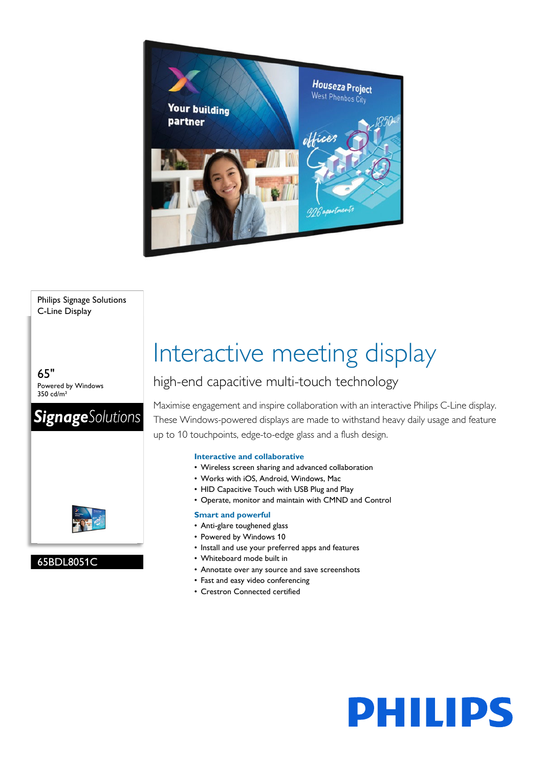

#### Philips Signage Solutions C-Line Display

65" Powered by Windows 350 cd/m²





### 65BDL8051C

# Interactive meeting display

## high-end capacitive multi-touch technology

Maximise engagement and inspire collaboration with an interactive Philips C-Line display. These Windows-powered displays are made to withstand heavy daily usage and feature up to 10 touchpoints, edge-to-edge glass and a flush design.

**PHILIPS** 

#### **Interactive and collaborative**

- Wireless screen sharing and advanced collaboration
- Works with iOS, Android, Windows, Mac
- HID Capacitive Touch with USB Plug and Play
- Operate, monitor and maintain with CMND and Control

#### **Smart and powerful**

- Anti-glare toughened glass
- Powered by Windows 10
- Install and use your preferred apps and features
- Whiteboard mode built in
- Annotate over any source and save screenshots
- Fast and easy video conferencing
- Crestron Connected certified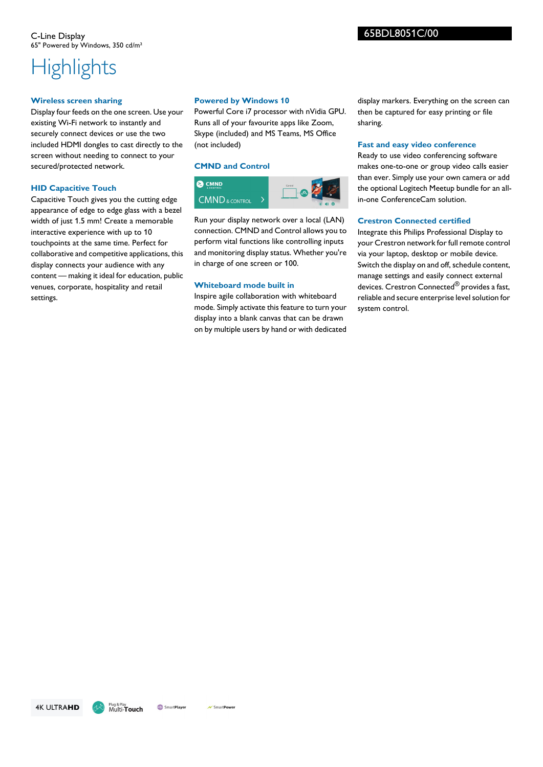## **Highlights**

#### **Wireless screen sharing**

Display four feeds on the one screen. Use your existing Wi-Fi network to instantly and securely connect devices or use the two included HDMI dongles to cast directly to the screen without needing to connect to your secured/protected network.

#### **HID Capacitive Touch**

Capacitive Touch gives you the cutting edge appearance of edge to edge glass with a bezel width of just 1.5 mm! Create a memorable interactive experience with up to 10 touchpoints at the same time. Perfect for collaborative and competitive applications, this display connects your audience with any content — making it ideal for education, public venues, corporate, hospitality and retail settings.

#### **Powered by Windows 10**

Powerful Core i7 processor with nVidia GPU. Runs all of your favourite apps like Zoom, Skype (included) and MS Teams, MS Office (not included)

#### **CMND and Control**



Run your display network over a local (LAN) connection. CMND and Control allows you to perform vital functions like controlling inputs and monitoring display status. Whether you're in charge of one screen or 100.

#### **Whiteboard mode built in**

Inspire agile collaboration with whiteboard mode. Simply activate this feature to turn your display into a blank canvas that can be drawn on by multiple users by hand or with dedicated display markers. Everything on the screen can then be captured for easy printing or file sharing.

#### **Fast and easy video conference**

Ready to use video conferencing software makes one-to-one or group video calls easier than ever. Simply use your own camera or add the optional Logitech Meetup bundle for an allin-one ConferenceCam solution.

#### **Crestron Connected certified**

Integrate this Philips Professional Display to your Crestron network for full remote control via your laptop, desktop or mobile device. Switch the display on and off, schedule content, manage settings and easily connect external devices. Crestron Connected<sup>®</sup> provides a fast, reliable and secure enterprise level solution for system control.

**4K ULTRAHD** 

**Cod** Smart Player V Smart Power